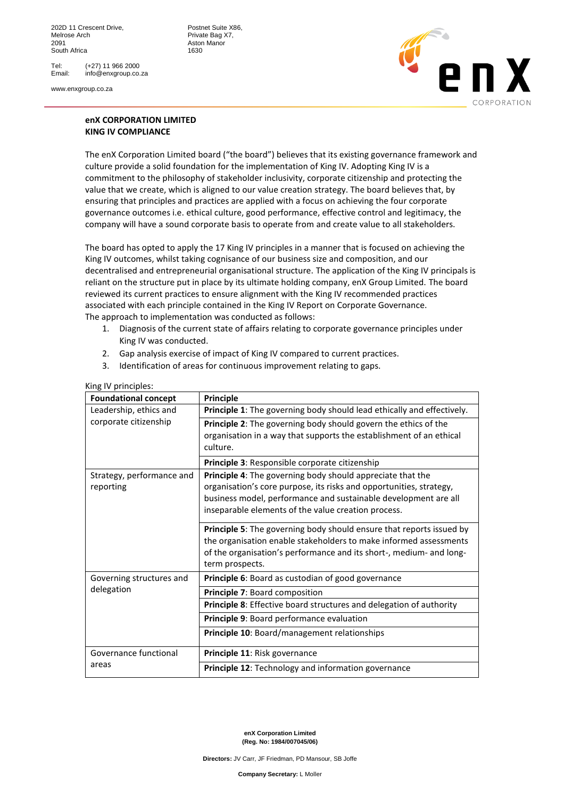Tel: (+27) 11 966 2000<br>Email: info@enxgroup.co. info@enxgroup.co.za

www.enxgroup.co.za



## **enX CORPORATION LIMITED KING IV COMPLIANCE**

Aston Manor<br>1630

The enX Corporation Limited board ("the board") believes that its existing governance framework and culture provide a solid foundation for the implementation of King IV. Adopting King IV is a commitment to the philosophy of stakeholder inclusivity, corporate citizenship and protecting the value that we create, which is aligned to our value creation strategy. The board believes that, by ensuring that principles and practices are applied with a focus on achieving the four corporate governance outcomes i.e. ethical culture, good performance, effective control and legitimacy, the company will have a sound corporate basis to operate from and create value to all stakeholders.

The board has opted to apply the 17 King IV principles in a manner that is focused on achieving the King IV outcomes, whilst taking cognisance of our business size and composition, and our decentralised and entrepreneurial organisational structure. The application of the King IV principals is reliant on the structure put in place by its ultimate holding company, enX Group Limited. The board reviewed its current practices to ensure alignment with the King IV recommended practices associated with each principle contained in the King IV Report on Corporate Governance. The approach to implementation was conducted as follows:

- 1. Diagnosis of the current state of affairs relating to corporate governance principles under King IV was conducted.
- 2. Gap analysis exercise of impact of King IV compared to current practices.
- 3. Identification of areas for continuous improvement relating to gaps.

| <b>Foundational concept</b>            | Principle                                                                                                                                                                                                                                                   |  |  |  |
|----------------------------------------|-------------------------------------------------------------------------------------------------------------------------------------------------------------------------------------------------------------------------------------------------------------|--|--|--|
| Leadership, ethics and                 | Principle 1: The governing body should lead ethically and effectively.                                                                                                                                                                                      |  |  |  |
| corporate citizenship                  | Principle 2: The governing body should govern the ethics of the<br>organisation in a way that supports the establishment of an ethical<br>culture.                                                                                                          |  |  |  |
|                                        | Principle 3: Responsible corporate citizenship                                                                                                                                                                                                              |  |  |  |
| Strategy, performance and<br>reporting | Principle 4: The governing body should appreciate that the<br>organisation's core purpose, its risks and opportunities, strategy,<br>business model, performance and sustainable development are all<br>inseparable elements of the value creation process. |  |  |  |
|                                        | Principle 5: The governing body should ensure that reports issued by<br>the organisation enable stakeholders to make informed assessments<br>of the organisation's performance and its short-, medium- and long-<br>term prospects.                         |  |  |  |
| Governing structures and               | Principle 6: Board as custodian of good governance                                                                                                                                                                                                          |  |  |  |
| delegation                             | <b>Principle 7: Board composition</b><br>Principle 8: Effective board structures and delegation of authority                                                                                                                                                |  |  |  |
|                                        | Principle 9: Board performance evaluation                                                                                                                                                                                                                   |  |  |  |
|                                        | Principle 10: Board/management relationships                                                                                                                                                                                                                |  |  |  |
| Governance functional                  | Principle 11: Risk governance                                                                                                                                                                                                                               |  |  |  |
| areas                                  | Principle 12: Technology and information governance                                                                                                                                                                                                         |  |  |  |

## King IV principles:

**enX Corporation Limited (Reg. No: 1984/007045/06)**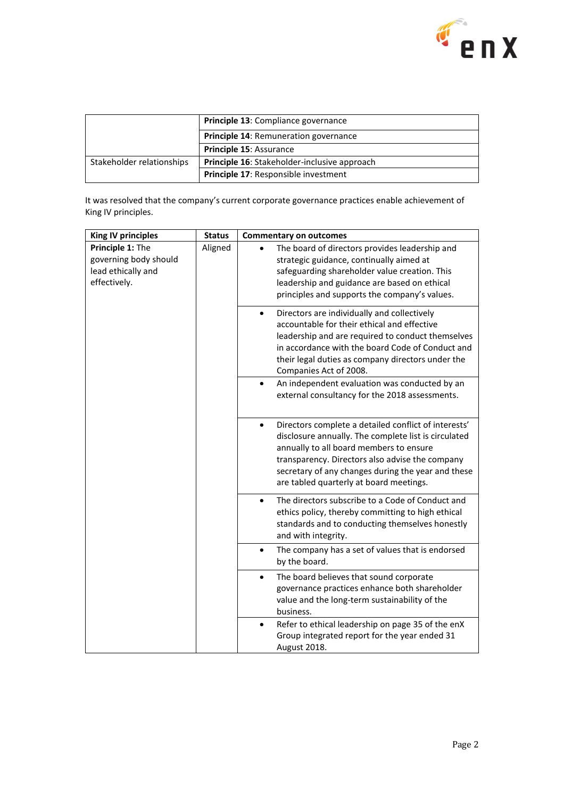

|                           | <b>Principle 13: Compliance governance</b>   |  |  |
|---------------------------|----------------------------------------------|--|--|
|                           | <b>Principle 14: Remuneration governance</b> |  |  |
|                           | Principle 15: Assurance                      |  |  |
| Stakeholder relationships | Principle 16: Stakeholder-inclusive approach |  |  |
|                           | <b>Principle 17: Responsible investment</b>  |  |  |

It was resolved that the company's current corporate governance practices enable achievement of King IV principles.

| <b>King IV principles</b>                                                       | <b>Status</b> | <b>Commentary on outcomes</b>                                                                                                                                                                                                                                                                                            |  |  |  |  |  |  |  |  |  |  |  |  |  |
|---------------------------------------------------------------------------------|---------------|--------------------------------------------------------------------------------------------------------------------------------------------------------------------------------------------------------------------------------------------------------------------------------------------------------------------------|--|--|--|--|--|--|--|--|--|--|--|--|--|
| Principle 1: The<br>governing body should<br>lead ethically and<br>effectively. | Aligned       | The board of directors provides leadership and<br>strategic guidance, continually aimed at<br>safeguarding shareholder value creation. This<br>leadership and guidance are based on ethical<br>principles and supports the company's values.                                                                             |  |  |  |  |  |  |  |  |  |  |  |  |  |
|                                                                                 |               | Directors are individually and collectively<br>$\bullet$<br>accountable for their ethical and effective<br>leadership and are required to conduct themselves<br>in accordance with the board Code of Conduct and<br>their legal duties as company directors under the<br>Companies Act of 2008.                          |  |  |  |  |  |  |  |  |  |  |  |  |  |
|                                                                                 |               | An independent evaluation was conducted by an<br>$\bullet$<br>external consultancy for the 2018 assessments.                                                                                                                                                                                                             |  |  |  |  |  |  |  |  |  |  |  |  |  |
|                                                                                 |               | Directors complete a detailed conflict of interests'<br>$\bullet$<br>disclosure annually. The complete list is circulated<br>annually to all board members to ensure<br>transparency. Directors also advise the company<br>secretary of any changes during the year and these<br>are tabled quarterly at board meetings. |  |  |  |  |  |  |  |  |  |  |  |  |  |
|                                                                                 |               | The directors subscribe to a Code of Conduct and<br>$\bullet$<br>ethics policy, thereby committing to high ethical<br>standards and to conducting themselves honestly<br>and with integrity.                                                                                                                             |  |  |  |  |  |  |  |  |  |  |  |  |  |
|                                                                                 |               |                                                                                                                                                                                                                                                                                                                          |  |  |  |  |  |  |  |  |  |  |  |  |  |
|                                                                                 |               | The board believes that sound corporate<br>$\bullet$<br>governance practices enhance both shareholder<br>value and the long-term sustainability of the<br>business.                                                                                                                                                      |  |  |  |  |  |  |  |  |  |  |  |  |  |
|                                                                                 |               | Refer to ethical leadership on page 35 of the enX<br>$\bullet$<br>Group integrated report for the year ended 31<br>August 2018.                                                                                                                                                                                          |  |  |  |  |  |  |  |  |  |  |  |  |  |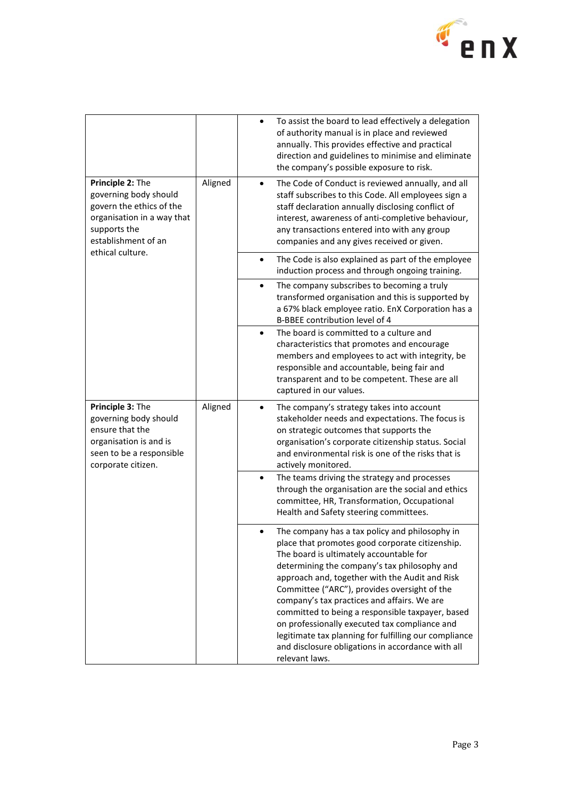

|                                                                                                                                            |         | To assist the board to lead effectively a delegation<br>$\bullet$<br>of authority manual is in place and reviewed<br>annually. This provides effective and practical<br>direction and guidelines to minimise and eliminate<br>the company's possible exposure to risk.                                                                                                                                                                                                                                                                                                             |
|--------------------------------------------------------------------------------------------------------------------------------------------|---------|------------------------------------------------------------------------------------------------------------------------------------------------------------------------------------------------------------------------------------------------------------------------------------------------------------------------------------------------------------------------------------------------------------------------------------------------------------------------------------------------------------------------------------------------------------------------------------|
| Principle 2: The<br>governing body should<br>govern the ethics of the<br>organisation in a way that<br>supports the<br>establishment of an | Aligned | The Code of Conduct is reviewed annually, and all<br>$\bullet$<br>staff subscribes to this Code. All employees sign a<br>staff declaration annually disclosing conflict of<br>interest, awareness of anti-completive behaviour,<br>any transactions entered into with any group<br>companies and any gives received or given.                                                                                                                                                                                                                                                      |
| ethical culture.                                                                                                                           |         | The Code is also explained as part of the employee<br>$\bullet$<br>induction process and through ongoing training.                                                                                                                                                                                                                                                                                                                                                                                                                                                                 |
|                                                                                                                                            |         | The company subscribes to becoming a truly<br>$\bullet$<br>transformed organisation and this is supported by<br>a 67% black employee ratio. EnX Corporation has a<br>B-BBEE contribution level of 4                                                                                                                                                                                                                                                                                                                                                                                |
|                                                                                                                                            |         | The board is committed to a culture and<br>$\bullet$<br>characteristics that promotes and encourage<br>members and employees to act with integrity, be<br>responsible and accountable, being fair and<br>transparent and to be competent. These are all<br>captured in our values.                                                                                                                                                                                                                                                                                                 |
| Principle 3: The<br>governing body should<br>ensure that the<br>organisation is and is<br>seen to be a responsible<br>corporate citizen.   | Aligned | The company's strategy takes into account<br>stakeholder needs and expectations. The focus is<br>on strategic outcomes that supports the<br>organisation's corporate citizenship status. Social<br>and environmental risk is one of the risks that is<br>actively monitored.                                                                                                                                                                                                                                                                                                       |
|                                                                                                                                            |         | The teams driving the strategy and processes<br>$\bullet$<br>through the organisation are the social and ethics<br>committee, HR, Transformation, Occupational<br>Health and Safety steering committees.                                                                                                                                                                                                                                                                                                                                                                           |
|                                                                                                                                            |         | The company has a tax policy and philosophy in<br>place that promotes good corporate citizenship.<br>The board is ultimately accountable for<br>determining the company's tax philosophy and<br>approach and, together with the Audit and Risk<br>Committee ("ARC"), provides oversight of the<br>company's tax practices and affairs. We are<br>committed to being a responsible taxpayer, based<br>on professionally executed tax compliance and<br>legitimate tax planning for fulfilling our compliance<br>and disclosure obligations in accordance with all<br>relevant laws. |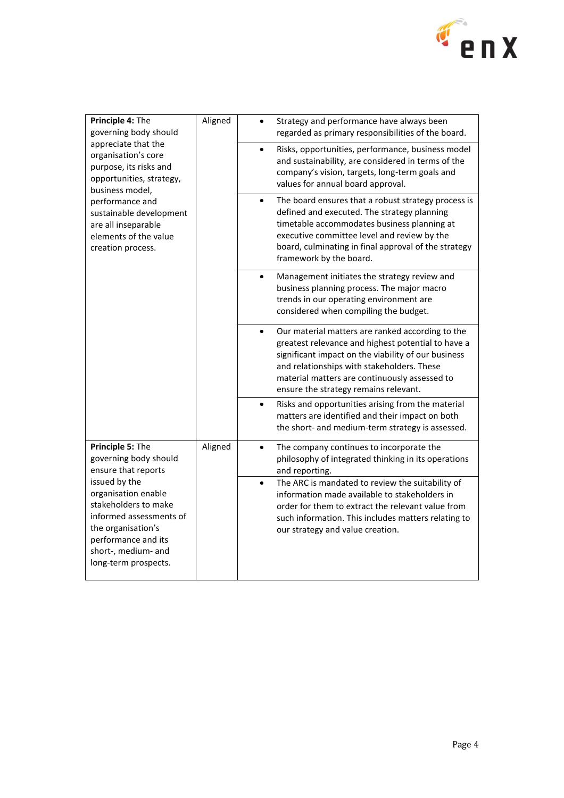

| Principle 4: The<br>governing body should<br>appreciate that the<br>organisation's core<br>purpose, its risks and<br>opportunities, strategy,<br>business model,<br>performance and<br>sustainable development<br>are all inseparable<br>elements of the value<br>creation process. | Aligned | Strategy and performance have always been<br>regarded as primary responsibilities of the board.                                                                                                                                                                                                                    |
|-------------------------------------------------------------------------------------------------------------------------------------------------------------------------------------------------------------------------------------------------------------------------------------|---------|--------------------------------------------------------------------------------------------------------------------------------------------------------------------------------------------------------------------------------------------------------------------------------------------------------------------|
|                                                                                                                                                                                                                                                                                     |         | Risks, opportunities, performance, business model<br>and sustainability, are considered in terms of the<br>company's vision, targets, long-term goals and<br>values for annual board approval.                                                                                                                     |
|                                                                                                                                                                                                                                                                                     |         | The board ensures that a robust strategy process is<br>$\bullet$<br>defined and executed. The strategy planning<br>timetable accommodates business planning at<br>executive committee level and review by the<br>board, culminating in final approval of the strategy<br>framework by the board.                   |
|                                                                                                                                                                                                                                                                                     |         | Management initiates the strategy review and<br>$\bullet$<br>business planning process. The major macro<br>trends in our operating environment are<br>considered when compiling the budget.                                                                                                                        |
|                                                                                                                                                                                                                                                                                     |         | Our material matters are ranked according to the<br>$\bullet$<br>greatest relevance and highest potential to have a<br>significant impact on the viability of our business<br>and relationships with stakeholders. These<br>material matters are continuously assessed to<br>ensure the strategy remains relevant. |
|                                                                                                                                                                                                                                                                                     |         | Risks and opportunities arising from the material<br>$\bullet$<br>matters are identified and their impact on both<br>the short- and medium-term strategy is assessed.                                                                                                                                              |
| Principle 5: The<br>governing body should<br>ensure that reports                                                                                                                                                                                                                    | Aligned | The company continues to incorporate the<br>$\bullet$<br>philosophy of integrated thinking in its operations<br>and reporting.                                                                                                                                                                                     |
| issued by the<br>organisation enable<br>stakeholders to make<br>informed assessments of<br>the organisation's<br>performance and its<br>short-, medium- and<br>long-term prospects.                                                                                                 |         | The ARC is mandated to review the suitability of<br>$\bullet$<br>information made available to stakeholders in<br>order for them to extract the relevant value from<br>such information. This includes matters relating to<br>our strategy and value creation.                                                     |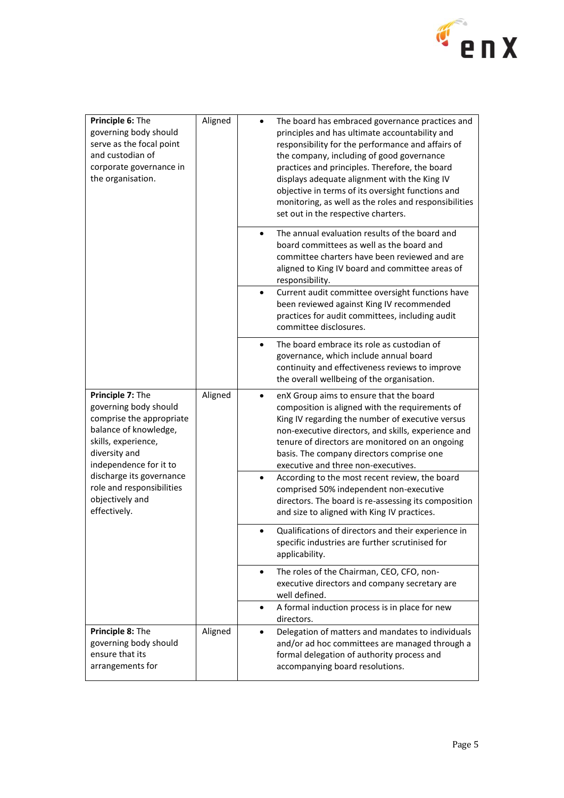

| Principle 6: The<br>governing body should<br>serve as the focal point<br>and custodian of<br>corporate governance in<br>the organisation.                        | Aligned | The board has embraced governance practices and<br>principles and has ultimate accountability and<br>responsibility for the performance and affairs of<br>the company, including of good governance<br>practices and principles. Therefore, the board<br>displays adequate alignment with the King IV<br>objective in terms of its oversight functions and<br>monitoring, as well as the roles and responsibilities<br>set out in the respective charters. |
|------------------------------------------------------------------------------------------------------------------------------------------------------------------|---------|------------------------------------------------------------------------------------------------------------------------------------------------------------------------------------------------------------------------------------------------------------------------------------------------------------------------------------------------------------------------------------------------------------------------------------------------------------|
|                                                                                                                                                                  |         | The annual evaluation results of the board and<br>board committees as well as the board and<br>committee charters have been reviewed and are<br>aligned to King IV board and committee areas of<br>responsibility.                                                                                                                                                                                                                                         |
|                                                                                                                                                                  |         | Current audit committee oversight functions have<br>$\bullet$<br>been reviewed against King IV recommended<br>practices for audit committees, including audit<br>committee disclosures.                                                                                                                                                                                                                                                                    |
|                                                                                                                                                                  |         | The board embrace its role as custodian of<br>$\bullet$<br>governance, which include annual board<br>continuity and effectiveness reviews to improve<br>the overall wellbeing of the organisation.                                                                                                                                                                                                                                                         |
| Principle 7: The<br>governing body should<br>comprise the appropriate<br>balance of knowledge,<br>skills, experience,<br>diversity and<br>independence for it to | Aligned | enX Group aims to ensure that the board<br>composition is aligned with the requirements of<br>King IV regarding the number of executive versus<br>non-executive directors, and skills, experience and<br>tenure of directors are monitored on an ongoing<br>basis. The company directors comprise one<br>executive and three non-executives.                                                                                                               |
| discharge its governance<br>role and responsibilities<br>objectively and<br>effectively.                                                                         |         | According to the most recent review, the board<br>$\bullet$<br>comprised 50% independent non-executive<br>directors. The board is re-assessing its composition<br>and size to aligned with King IV practices.                                                                                                                                                                                                                                              |
|                                                                                                                                                                  |         | Qualifications of directors and their experience in<br>$\bullet$<br>specific industries are further scrutinised for<br>applicability.                                                                                                                                                                                                                                                                                                                      |
|                                                                                                                                                                  |         | The roles of the Chairman, CEO, CFO, non-<br>$\bullet$<br>executive directors and company secretary are<br>well defined.                                                                                                                                                                                                                                                                                                                                   |
|                                                                                                                                                                  |         | A formal induction process is in place for new<br>$\bullet$<br>directors.                                                                                                                                                                                                                                                                                                                                                                                  |
| Principle 8: The<br>governing body should<br>ensure that its<br>arrangements for                                                                                 | Aligned | Delegation of matters and mandates to individuals<br>$\bullet$<br>and/or ad hoc committees are managed through a<br>formal delegation of authority process and<br>accompanying board resolutions.                                                                                                                                                                                                                                                          |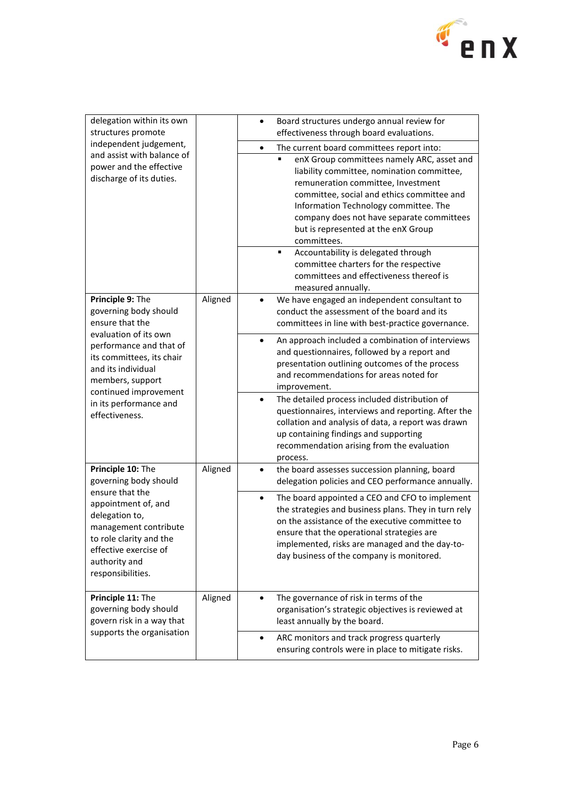

| delegation within its own<br>structures promote<br>independent judgement,<br>and assist with balance of<br>power and the effective<br>discharge of its duties.                               |         | Board structures undergo annual review for<br>$\bullet$<br>effectiveness through board evaluations.                                                                                                                                                                                                                           |
|----------------------------------------------------------------------------------------------------------------------------------------------------------------------------------------------|---------|-------------------------------------------------------------------------------------------------------------------------------------------------------------------------------------------------------------------------------------------------------------------------------------------------------------------------------|
|                                                                                                                                                                                              |         | The current board committees report into:<br>$\bullet$                                                                                                                                                                                                                                                                        |
|                                                                                                                                                                                              |         | ٠<br>enX Group committees namely ARC, asset and<br>liability committee, nomination committee,<br>remuneration committee, Investment<br>committee, social and ethics committee and<br>Information Technology committee. The<br>company does not have separate committees<br>but is represented at the enX Group<br>committees. |
|                                                                                                                                                                                              |         | Accountability is delegated through<br>٠<br>committee charters for the respective<br>committees and effectiveness thereof is<br>measured annually.                                                                                                                                                                            |
| Principle 9: The<br>governing body should<br>ensure that the                                                                                                                                 | Aligned | We have engaged an independent consultant to<br>$\bullet$<br>conduct the assessment of the board and its<br>committees in line with best-practice governance.                                                                                                                                                                 |
| evaluation of its own<br>performance and that of<br>its committees, its chair<br>and its individual<br>members, support<br>continued improvement<br>in its performance and<br>effectiveness. |         | An approach included a combination of interviews<br>$\bullet$<br>and questionnaires, followed by a report and<br>presentation outlining outcomes of the process<br>and recommendations for areas noted for<br>improvement.                                                                                                    |
|                                                                                                                                                                                              |         | The detailed process included distribution of<br>$\bullet$<br>questionnaires, interviews and reporting. After the<br>collation and analysis of data, a report was drawn<br>up containing findings and supporting<br>recommendation arising from the evaluation<br>process.                                                    |
| Principle 10: The<br>governing body should                                                                                                                                                   | Aligned | the board assesses succession planning, board<br>$\bullet$<br>delegation policies and CEO performance annually.                                                                                                                                                                                                               |
| ensure that the<br>appointment of, and<br>delegation to,<br>management contribute<br>to role clarity and the<br>effective exercise of<br>authority and<br>responsibilities.                  |         | The board appointed a CEO and CFO to implement<br>$\bullet$<br>the strategies and business plans. They in turn rely<br>on the assistance of the executive committee to<br>ensure that the operational strategies are<br>implemented, risks are managed and the day-to-<br>day business of the company is monitored.           |
| Principle 11: The<br>governing body should<br>govern risk in a way that                                                                                                                      | Aligned | The governance of risk in terms of the<br>organisation's strategic objectives is reviewed at<br>least annually by the board.                                                                                                                                                                                                  |
| supports the organisation                                                                                                                                                                    |         | ARC monitors and track progress quarterly<br>٠<br>ensuring controls were in place to mitigate risks.                                                                                                                                                                                                                          |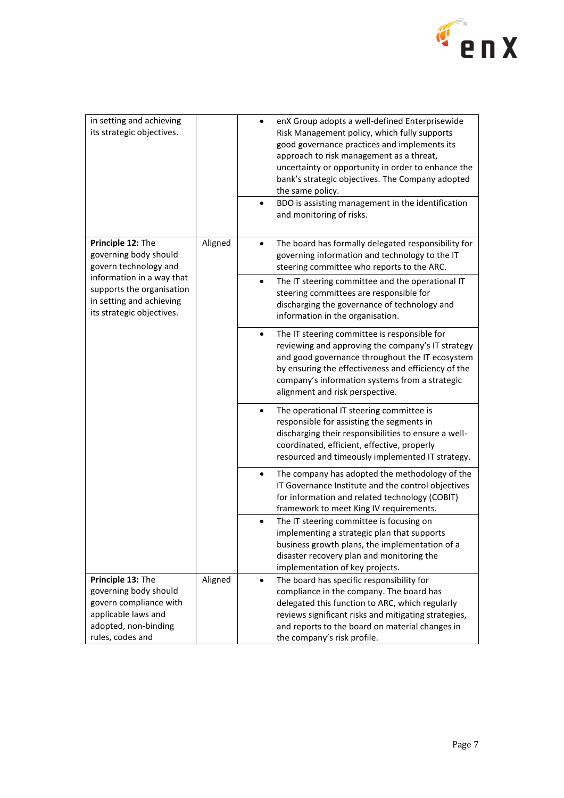

| in setting and achieving<br>its strategic objectives.                                                                                   |         | enX Group adopts a well-defined Enterprisewide<br>Risk Management policy, which fully supports<br>good governance practices and implements its<br>approach to risk management as a threat,<br>uncertainty or opportunity in order to enhance the<br>bank's strategic objectives. The Company adopted<br>the same policy.<br>BDO is assisting management in the identification<br>$\bullet$<br>and monitoring of risks. |
|-----------------------------------------------------------------------------------------------------------------------------------------|---------|------------------------------------------------------------------------------------------------------------------------------------------------------------------------------------------------------------------------------------------------------------------------------------------------------------------------------------------------------------------------------------------------------------------------|
| Principle 12: The<br>governing body should<br>govern technology and                                                                     | Aligned | The board has formally delegated responsibility for<br>$\bullet$<br>governing information and technology to the IT<br>steering committee who reports to the ARC.                                                                                                                                                                                                                                                       |
| information in a way that<br>supports the organisation<br>in setting and achieving<br>its strategic objectives.                         |         | The IT steering committee and the operational IT<br>$\bullet$<br>steering committees are responsible for<br>discharging the governance of technology and<br>information in the organisation.                                                                                                                                                                                                                           |
|                                                                                                                                         |         | The IT steering committee is responsible for<br>$\bullet$<br>reviewing and approving the company's IT strategy<br>and good governance throughout the IT ecosystem<br>by ensuring the effectiveness and efficiency of the<br>company's information systems from a strategic<br>alignment and risk perspective.                                                                                                          |
|                                                                                                                                         |         | The operational IT steering committee is<br>$\bullet$<br>responsible for assisting the segments in<br>discharging their responsibilities to ensure a well-<br>coordinated, efficient, effective, properly<br>resourced and timeously implemented IT strategy.                                                                                                                                                          |
|                                                                                                                                         |         | The company has adopted the methodology of the<br>$\bullet$<br>IT Governance Institute and the control objectives<br>for information and related technology (COBIT)<br>framework to meet King IV requirements.                                                                                                                                                                                                         |
|                                                                                                                                         |         | The IT steering committee is focusing on<br>implementing a strategic plan that supports<br>business growth plans, the implementation of a<br>disaster recovery plan and monitoring the<br>implementation of key projects.                                                                                                                                                                                              |
| Principle 13: The<br>governing body should<br>govern compliance with<br>applicable laws and<br>adopted, non-binding<br>rules, codes and | Aligned | The board has specific responsibility for<br>$\bullet$<br>compliance in the company. The board has<br>delegated this function to ARC, which regularly<br>reviews significant risks and mitigating strategies,<br>and reports to the board on material changes in<br>the company's risk profile.                                                                                                                        |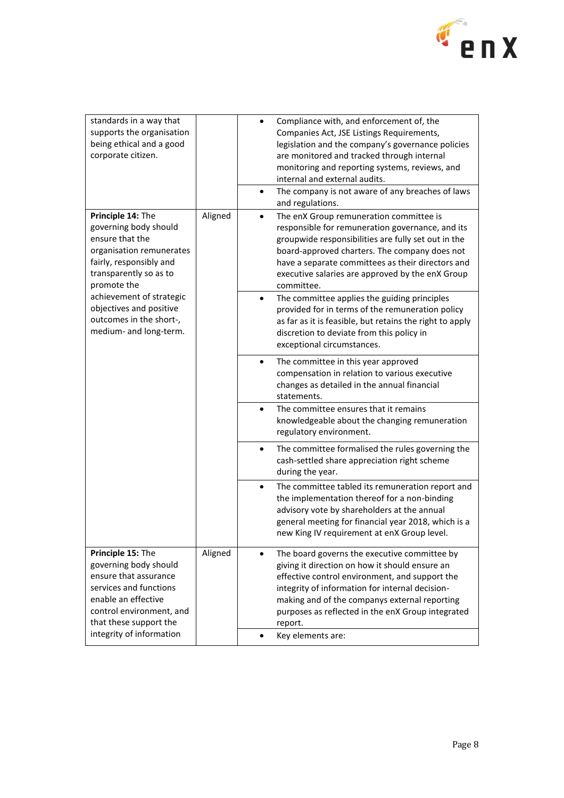

| standards in a way that<br>supports the organisation<br>being ethical and a good<br>corporate citizen.                                                                                                 |         | Compliance with, and enforcement of, the<br>$\bullet$<br>Companies Act, JSE Listings Requirements,<br>legislation and the company's governance policies<br>are monitored and tracked through internal<br>monitoring and reporting systems, reviews, and<br>internal and external audits.<br>The company is not aware of any breaches of laws<br>$\bullet$<br>and regulations. |
|--------------------------------------------------------------------------------------------------------------------------------------------------------------------------------------------------------|---------|-------------------------------------------------------------------------------------------------------------------------------------------------------------------------------------------------------------------------------------------------------------------------------------------------------------------------------------------------------------------------------|
| Principle 14: The<br>governing body should<br>ensure that the<br>organisation remunerates<br>fairly, responsibly and<br>transparently so as to<br>promote the                                          | Aligned | The enX Group remuneration committee is<br>$\bullet$<br>responsible for remuneration governance, and its<br>groupwide responsibilities are fully set out in the<br>board-approved charters. The company does not<br>have a separate committees as their directors and<br>executive salaries are approved by the enX Group<br>committee.                                       |
| achievement of strategic<br>objectives and positive<br>outcomes in the short-,<br>medium- and long-term.                                                                                               |         | The committee applies the guiding principles<br>$\bullet$<br>provided for in terms of the remuneration policy<br>as far as it is feasible, but retains the right to apply<br>discretion to deviate from this policy in<br>exceptional circumstances.                                                                                                                          |
|                                                                                                                                                                                                        |         | The committee in this year approved<br>$\bullet$<br>compensation in relation to various executive<br>changes as detailed in the annual financial<br>statements.                                                                                                                                                                                                               |
|                                                                                                                                                                                                        |         | The committee ensures that it remains<br>$\bullet$<br>knowledgeable about the changing remuneration<br>regulatory environment.                                                                                                                                                                                                                                                |
|                                                                                                                                                                                                        |         | The committee formalised the rules governing the<br>$\bullet$<br>cash-settled share appreciation right scheme<br>during the year.                                                                                                                                                                                                                                             |
|                                                                                                                                                                                                        |         | The committee tabled its remuneration report and<br>$\bullet$<br>the implementation thereof for a non-binding<br>advisory vote by shareholders at the annual<br>general meeting for financial year 2018, which is a<br>new King IV requirement at enX Group level.                                                                                                            |
| Principle 15: The<br>governing body should<br>ensure that assurance<br>services and functions<br>enable an effective<br>control environment, and<br>that these support the<br>integrity of information | Aligned | The board governs the executive committee by<br>giving it direction on how it should ensure an<br>effective control environment, and support the<br>integrity of information for internal decision-<br>making and of the companys external reporting<br>purposes as reflected in the enX Group integrated<br>report.<br>Key elements are:<br>$\bullet$                        |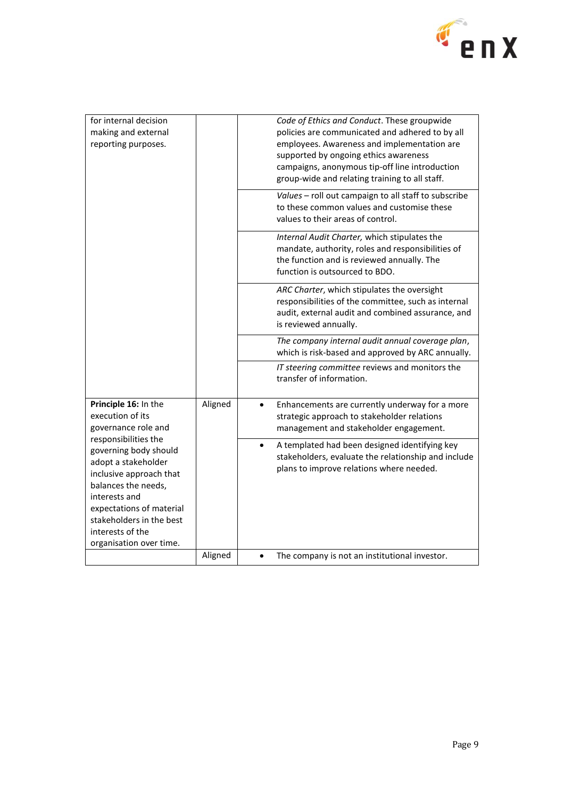

| for internal decision<br>making and external<br>reporting purposes.                                                                                                                                                                            |         | Code of Ethics and Conduct. These groupwide<br>policies are communicated and adhered to by all<br>employees. Awareness and implementation are<br>supported by ongoing ethics awareness<br>campaigns, anonymous tip-off line introduction<br>group-wide and relating training to all staff. |
|------------------------------------------------------------------------------------------------------------------------------------------------------------------------------------------------------------------------------------------------|---------|--------------------------------------------------------------------------------------------------------------------------------------------------------------------------------------------------------------------------------------------------------------------------------------------|
|                                                                                                                                                                                                                                                |         | Values - roll out campaign to all staff to subscribe<br>to these common values and customise these<br>values to their areas of control.                                                                                                                                                    |
|                                                                                                                                                                                                                                                |         | Internal Audit Charter, which stipulates the<br>mandate, authority, roles and responsibilities of<br>the function and is reviewed annually. The<br>function is outsourced to BDO.                                                                                                          |
|                                                                                                                                                                                                                                                |         | ARC Charter, which stipulates the oversight<br>responsibilities of the committee, such as internal<br>audit, external audit and combined assurance, and<br>is reviewed annually.                                                                                                           |
|                                                                                                                                                                                                                                                |         | The company internal audit annual coverage plan,<br>which is risk-based and approved by ARC annually.                                                                                                                                                                                      |
|                                                                                                                                                                                                                                                |         | IT steering committee reviews and monitors the<br>transfer of information.                                                                                                                                                                                                                 |
| Principle 16: In the<br>execution of its<br>governance role and                                                                                                                                                                                | Aligned | Enhancements are currently underway for a more<br>$\bullet$<br>strategic approach to stakeholder relations<br>management and stakeholder engagement.                                                                                                                                       |
| responsibilities the<br>governing body should<br>adopt a stakeholder<br>inclusive approach that<br>balances the needs,<br>interests and<br>expectations of material<br>stakeholders in the best<br>interests of the<br>organisation over time. |         | A templated had been designed identifying key<br>$\bullet$<br>stakeholders, evaluate the relationship and include<br>plans to improve relations where needed.                                                                                                                              |
|                                                                                                                                                                                                                                                | Aligned | The company is not an institutional investor.                                                                                                                                                                                                                                              |